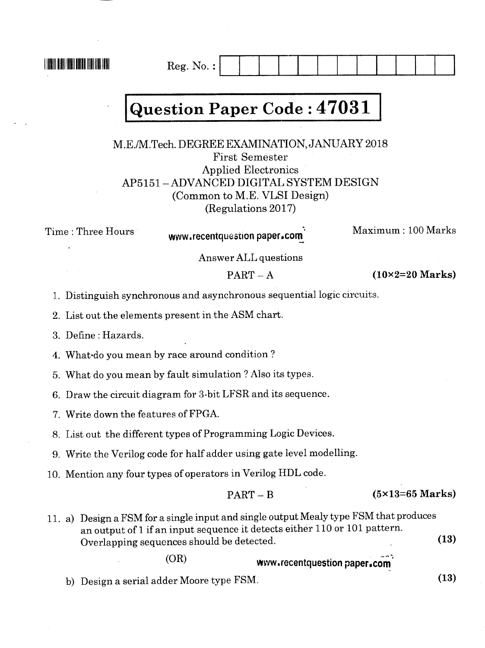**THE REAL PROPERTY OF A** 

## **Question Paper Code: 47031**

 $Reg. No. :$ 

M.E./M.Tech. DEGREE EXAMINATION, JANUARY 2018 **First Semester Applied Electronics** AP5151 – ADVANCED DIGITAL SYSTEM DESIGN (Common to M.E. VLSI Design) (Regulations 2017)

Time: Three Hours

www.recentquestion paper.com

Maximum: 100 Marks

Answer ALL questions

 $PART - A$ 

 $(10\times2=20$  Marks)

1. Distinguish synchronous and asynchronous sequential logic circuits.

2. List out the elements present in the ASM chart.

3. Define: Hazards.

4. What do you mean by race around condition?

5. What do you mean by fault simulation ? Also its types.

6. Draw the circuit diagram for 3-bit LFSR and its sequence.

7. Write down the features of FPGA.

8. List out the different types of Programming Logic Devices.

9. Write the Verilog code for half adder using gate level modelling.

10. Mention any four types of operators in Verilog HDL code.

 $PART - B$  $(5\times13=65$  Marks)

11. a) Design a FSM for a single input and single output Mealy type FSM that produces an output of 1 if an input sequence it detects either 110 or 101 pattern.  $(13)$ Overlapping sequences should be detected.

 $(OR)$ 

www.recentquestion paper.com

b) Design a serial adder Moore type FSM.

 $(13)$